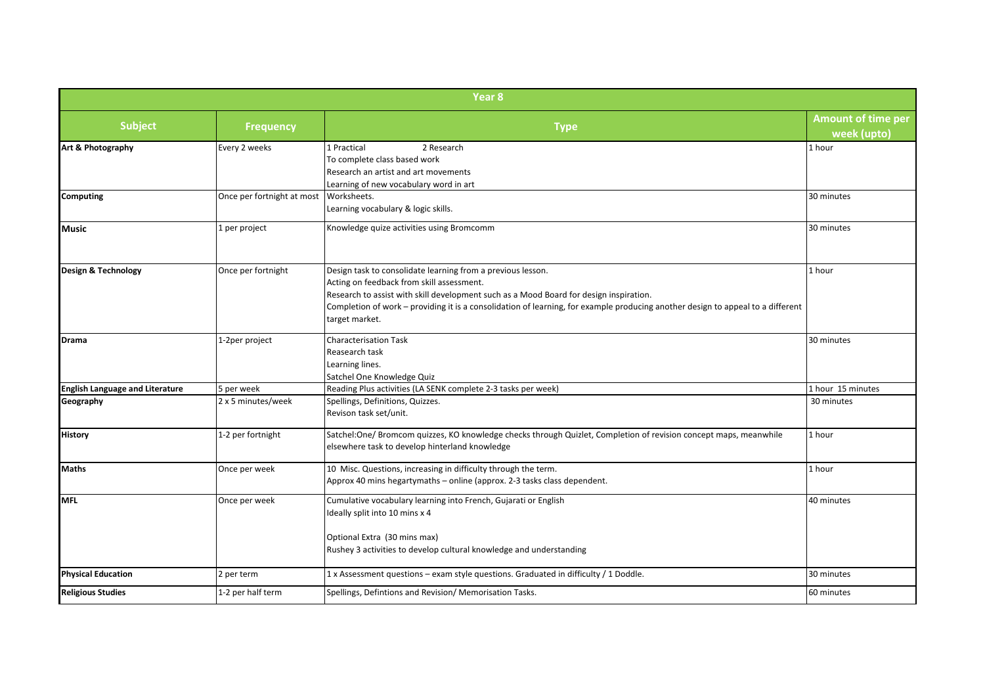| Year <sub>8</sub>                      |                            |                                                                                                                                                                                                                                                                                                                                                         |                                          |  |
|----------------------------------------|----------------------------|---------------------------------------------------------------------------------------------------------------------------------------------------------------------------------------------------------------------------------------------------------------------------------------------------------------------------------------------------------|------------------------------------------|--|
| <b>Subject</b>                         | <b>Frequency</b>           | <b>Type</b>                                                                                                                                                                                                                                                                                                                                             | <b>Amount of time per</b><br>week (upto) |  |
| Art & Photography                      | Every 2 weeks              | 2 Research<br>1 Practical<br>To complete class based work<br>Research an artist and art movements<br>Learning of new vocabulary word in art                                                                                                                                                                                                             | 1 hour                                   |  |
| <b>Computing</b>                       | Once per fortnight at most | Worksheets.<br>Learning vocabulary & logic skills.                                                                                                                                                                                                                                                                                                      | 30 minutes                               |  |
| <b>Music</b>                           | 1 per project              | Knowledge quize activities using Bromcomm                                                                                                                                                                                                                                                                                                               | 30 minutes                               |  |
| Design & Technology                    | Once per fortnight         | Design task to consolidate learning from a previous lesson.<br>Acting on feedback from skill assessment.<br>Research to assist with skill development such as a Mood Board for design inspiration.<br>Completion of work – providing it is a consolidation of learning, for example producing another design to appeal to a different<br>target market. | 1 hour                                   |  |
| <b>Drama</b>                           | 1-2per project             | <b>Characterisation Task</b><br>Reasearch task<br>Learning lines.<br>Satchel One Knowledge Quiz                                                                                                                                                                                                                                                         | 30 minutes                               |  |
| <b>English Language and Literature</b> | 5 per week                 | Reading Plus activities (LA SENK complete 2-3 tasks per week)                                                                                                                                                                                                                                                                                           | 1 hour 15 minutes                        |  |
| Geography                              | 2 x 5 minutes/week         | Spellings, Definitions, Quizzes.<br>Revison task set/unit.                                                                                                                                                                                                                                                                                              | 30 minutes                               |  |
| <b>History</b>                         | 1-2 per fortnight          | Satchel:One/ Bromcom quizzes, KO knowledge checks through Quizlet, Completion of revision concept maps, meanwhile<br>elsewhere task to develop hinterland knowledge                                                                                                                                                                                     | 1 hour                                   |  |
| <b>Maths</b>                           | Once per week              | 10 Misc. Questions, increasing in difficulty through the term.<br>Approx 40 mins hegartymaths - online (approx. 2-3 tasks class dependent.                                                                                                                                                                                                              | 1 hour                                   |  |
| <b>MFL</b>                             | Once per week              | Cumulative vocabulary learning into French, Gujarati or English<br>Ideally split into 10 mins x 4<br>Optional Extra (30 mins max)<br>Rushey 3 activities to develop cultural knowledge and understanding                                                                                                                                                | 40 minutes                               |  |
| <b>Physical Education</b>              | 2 per term                 | 1 x Assessment questions - exam style questions. Graduated in difficulty / 1 Doddle.                                                                                                                                                                                                                                                                    | 30 minutes                               |  |
| <b>Religious Studies</b>               | 1-2 per half term          | Spellings, Defintions and Revision/ Memorisation Tasks.                                                                                                                                                                                                                                                                                                 | 60 minutes                               |  |